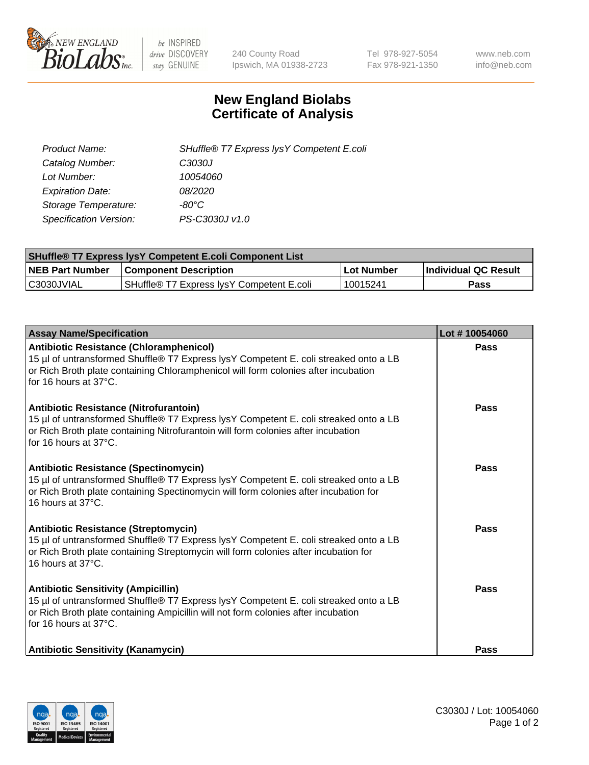

 $be$  INSPIRED drive DISCOVERY stay GENUINE

240 County Road Ipswich, MA 01938-2723 Tel 978-927-5054 Fax 978-921-1350 www.neb.com info@neb.com

## **New England Biolabs Certificate of Analysis**

| SHuffle® T7 Express lysY Competent E.coli |
|-------------------------------------------|
| C3030J                                    |
| 10054060                                  |
| 08/2020                                   |
| -80°C                                     |
| PS-C3030J v1.0                            |
|                                           |

| <b>SHuffle® T7 Express lysY Competent E.coli Component List</b> |                                           |                   |                             |  |
|-----------------------------------------------------------------|-------------------------------------------|-------------------|-----------------------------|--|
| <b>NEB Part Number</b>                                          | <b>Component Description</b>              | <b>Lot Number</b> | <b>Individual QC Result</b> |  |
| C3030JVIAL                                                      | SHuffle® T7 Express IysY Competent E.coli | 10015241          | Pass                        |  |

| <b>Assay Name/Specification</b>                                                                                                                                                                                                                       | Lot #10054060 |
|-------------------------------------------------------------------------------------------------------------------------------------------------------------------------------------------------------------------------------------------------------|---------------|
| <b>Antibiotic Resistance (Chloramphenicol)</b><br>15 µl of untransformed Shuffle® T7 Express lysY Competent E. coli streaked onto a LB<br>or Rich Broth plate containing Chloramphenicol will form colonies after incubation<br>for 16 hours at 37°C. | <b>Pass</b>   |
| Antibiotic Resistance (Nitrofurantoin)<br>15 µl of untransformed Shuffle® T7 Express lysY Competent E. coli streaked onto a LB<br>or Rich Broth plate containing Nitrofurantoin will form colonies after incubation<br>for 16 hours at 37°C.          | Pass          |
| <b>Antibiotic Resistance (Spectinomycin)</b><br>15 µl of untransformed Shuffle® T7 Express lysY Competent E. coli streaked onto a LB<br>or Rich Broth plate containing Spectinomycin will form colonies after incubation for<br>16 hours at 37°C.     | Pass          |
| <b>Antibiotic Resistance (Streptomycin)</b><br>15 µl of untransformed Shuffle® T7 Express lysY Competent E. coli streaked onto a LB<br>or Rich Broth plate containing Streptomycin will form colonies after incubation for<br>16 hours at 37°C.       | Pass          |
| <b>Antibiotic Sensitivity (Ampicillin)</b><br>15 µl of untransformed Shuffle® T7 Express lysY Competent E. coli streaked onto a LB<br>or Rich Broth plate containing Ampicillin will not form colonies after incubation<br>for 16 hours at 37°C.      | Pass          |
| <b>Antibiotic Sensitivity (Kanamycin)</b>                                                                                                                                                                                                             | Pass          |